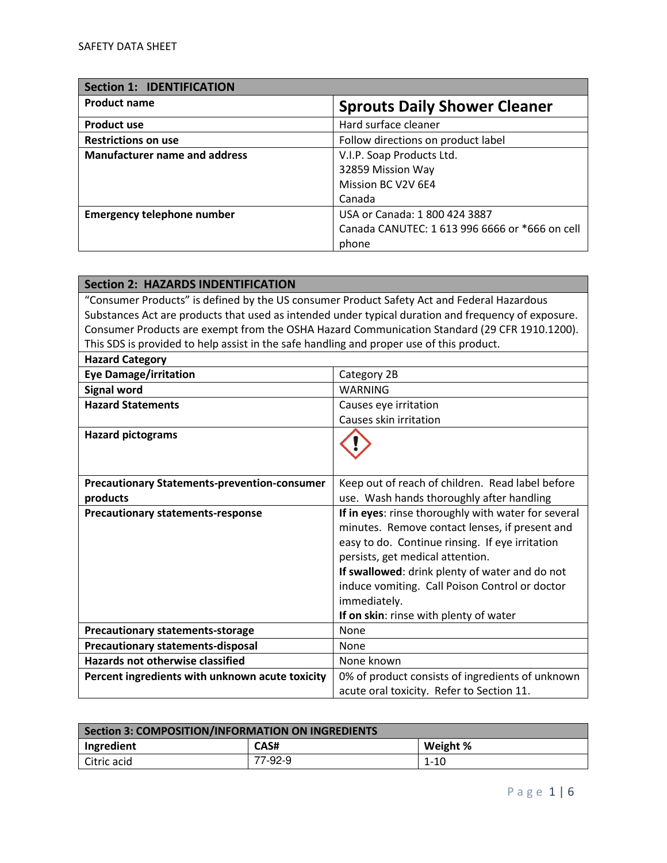| <b>Section 1: IDENTIFICATION</b>     |                                                |
|--------------------------------------|------------------------------------------------|
| <b>Product name</b>                  | <b>Sprouts Daily Shower Cleaner</b>            |
| <b>Product use</b>                   | Hard surface cleaner                           |
| <b>Restrictions on use</b>           | Follow directions on product label             |
| <b>Manufacturer name and address</b> | V.I.P. Soap Products Ltd.                      |
|                                      | 32859 Mission Way                              |
|                                      | Mission BC V2V 6E4                             |
|                                      | Canada                                         |
| <b>Emergency telephone number</b>    | USA or Canada: 1 800 424 3887                  |
|                                      | Canada CANUTEC: 1 613 996 6666 or *666 on cell |
|                                      | phone                                          |

| <b>Section 2: HAZARDS INDENTIFICATION</b>                                                           |                                                                                              |
|-----------------------------------------------------------------------------------------------------|----------------------------------------------------------------------------------------------|
| "Consumer Products" is defined by the US consumer Product Safety Act and Federal Hazardous          |                                                                                              |
| Substances Act are products that used as intended under typical duration and frequency of exposure. |                                                                                              |
|                                                                                                     | Consumer Products are exempt from the OSHA Hazard Communication Standard (29 CFR 1910.1200). |
| This SDS is provided to help assist in the safe handling and proper use of this product.            |                                                                                              |
| <b>Hazard Category</b>                                                                              |                                                                                              |
| <b>Eye Damage/irritation</b>                                                                        | Category 2B                                                                                  |
| <b>Signal word</b>                                                                                  | <b>WARNING</b>                                                                               |
| <b>Hazard Statements</b>                                                                            | Causes eye irritation                                                                        |
|                                                                                                     | Causes skin irritation                                                                       |
| <b>Hazard pictograms</b>                                                                            |                                                                                              |
|                                                                                                     |                                                                                              |
|                                                                                                     |                                                                                              |
| <b>Precautionary Statements-prevention-consumer</b>                                                 | Keep out of reach of children. Read label before                                             |
| products                                                                                            | use. Wash hands thoroughly after handling                                                    |
| <b>Precautionary statements-response</b>                                                            | If in eyes: rinse thoroughly with water for several                                          |
|                                                                                                     | minutes. Remove contact lenses, if present and                                               |
|                                                                                                     | easy to do. Continue rinsing. If eye irritation                                              |
|                                                                                                     | persists, get medical attention.                                                             |
|                                                                                                     | If swallowed: drink plenty of water and do not                                               |
|                                                                                                     | induce vomiting. Call Poison Control or doctor                                               |
|                                                                                                     | immediately.                                                                                 |
|                                                                                                     | If on skin: rinse with plenty of water                                                       |
| <b>Precautionary statements-storage</b>                                                             | None                                                                                         |
| <b>Precautionary statements-disposal</b>                                                            | None                                                                                         |
| <b>Hazards not otherwise classified</b>                                                             | None known                                                                                   |
| Percent ingredients with unknown acute toxicity                                                     | 0% of product consists of ingredients of unknown                                             |
|                                                                                                     | acute oral toxicity. Refer to Section 11.                                                    |

| Section 3: COMPOSITION/INFORMATION ON INGREDIENTS |         |          |
|---------------------------------------------------|---------|----------|
| Ingredient                                        | CAS#    | Weight % |
| Citric acid                                       | 77-92-9 | 1-10     |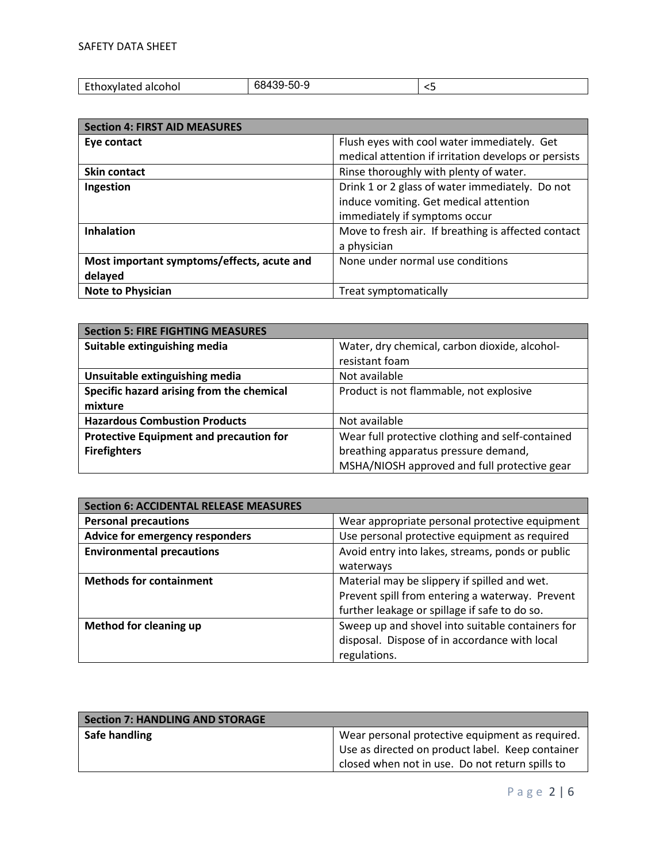| <b>CALL</b><br>alcohol<br>いわへん<br>ixvialeu<br>. | $\overline{\phantom{a}}$<br>-50-5<br>∴9∙.<br>~<br>υc | -- |
|-------------------------------------------------|------------------------------------------------------|----|

| <b>Section 4: FIRST AID MEASURES</b>       |                                                      |
|--------------------------------------------|------------------------------------------------------|
| Eye contact                                | Flush eyes with cool water immediately. Get          |
|                                            | medical attention if irritation develops or persists |
| <b>Skin contact</b>                        | Rinse thoroughly with plenty of water.               |
| Ingestion                                  | Drink 1 or 2 glass of water immediately. Do not      |
|                                            | induce vomiting. Get medical attention               |
|                                            | immediately if symptoms occur                        |
| <b>Inhalation</b>                          | Move to fresh air. If breathing is affected contact  |
|                                            | a physician                                          |
| Most important symptoms/effects, acute and | None under normal use conditions                     |
| delayed                                    |                                                      |
| <b>Note to Physician</b>                   | Treat symptomatically                                |

| <b>Section 5: FIRE FIGHTING MEASURES</b>       |                                                  |  |
|------------------------------------------------|--------------------------------------------------|--|
| Suitable extinguishing media                   | Water, dry chemical, carbon dioxide, alcohol-    |  |
|                                                | resistant foam                                   |  |
| Unsuitable extinguishing media                 | Not available                                    |  |
| Specific hazard arising from the chemical      | Product is not flammable, not explosive          |  |
| mixture                                        |                                                  |  |
| <b>Hazardous Combustion Products</b>           | Not available                                    |  |
| <b>Protective Equipment and precaution for</b> | Wear full protective clothing and self-contained |  |
| <b>Firefighters</b>                            | breathing apparatus pressure demand,             |  |
|                                                | MSHA/NIOSH approved and full protective gear     |  |

| <b>Section 6: ACCIDENTAL RELEASE MEASURES</b> |                                                  |
|-----------------------------------------------|--------------------------------------------------|
| <b>Personal precautions</b>                   | Wear appropriate personal protective equipment   |
| Advice for emergency responders               | Use personal protective equipment as required    |
| <b>Environmental precautions</b>              | Avoid entry into lakes, streams, ponds or public |
|                                               | waterways                                        |
| <b>Methods for containment</b>                | Material may be slippery if spilled and wet.     |
|                                               | Prevent spill from entering a waterway. Prevent  |
|                                               | further leakage or spillage if safe to do so.    |
| <b>Method for cleaning up</b>                 | Sweep up and shovel into suitable containers for |
|                                               | disposal. Dispose of in accordance with local    |
|                                               | regulations.                                     |

| Section 7: HANDLING AND STORAGE |                                                  |
|---------------------------------|--------------------------------------------------|
| Safe handling                   | Wear personal protective equipment as required.  |
|                                 | Use as directed on product label. Keep container |
|                                 | closed when not in use. Do not return spills to  |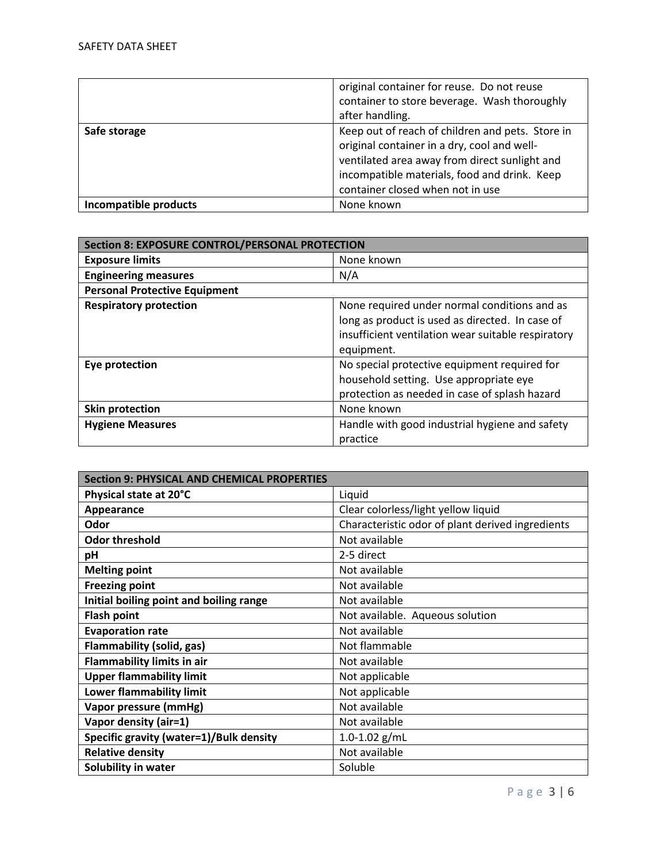|                       | original container for reuse. Do not reuse<br>container to store beverage. Wash thoroughly<br>after handling.                                                                                                                        |
|-----------------------|--------------------------------------------------------------------------------------------------------------------------------------------------------------------------------------------------------------------------------------|
| Safe storage          | Keep out of reach of children and pets. Store in<br>original container in a dry, cool and well-<br>ventilated area away from direct sunlight and<br>incompatible materials, food and drink. Keep<br>container closed when not in use |
| Incompatible products | None known                                                                                                                                                                                                                           |

| <b>Section 8: EXPOSURE CONTROL/PERSONAL PROTECTION</b> |                                                    |
|--------------------------------------------------------|----------------------------------------------------|
| <b>Exposure limits</b>                                 | None known                                         |
| <b>Engineering measures</b>                            | N/A                                                |
| <b>Personal Protective Equipment</b>                   |                                                    |
| <b>Respiratory protection</b>                          | None required under normal conditions and as       |
|                                                        | long as product is used as directed. In case of    |
|                                                        | insufficient ventilation wear suitable respiratory |
|                                                        | equipment.                                         |
| Eye protection                                         | No special protective equipment required for       |
|                                                        | household setting. Use appropriate eye             |
|                                                        | protection as needed in case of splash hazard      |
| <b>Skin protection</b>                                 | None known                                         |
| <b>Hygiene Measures</b>                                | Handle with good industrial hygiene and safety     |
|                                                        | practice                                           |

| <b>Section 9: PHYSICAL AND CHEMICAL PROPERTIES</b> |                                                  |
|----------------------------------------------------|--------------------------------------------------|
| Physical state at 20°C                             | Liquid                                           |
| Appearance                                         | Clear colorless/light yellow liquid              |
| Odor                                               | Characteristic odor of plant derived ingredients |
| <b>Odor threshold</b>                              | Not available                                    |
| рH                                                 | 2-5 direct                                       |
| <b>Melting point</b>                               | Not available                                    |
| <b>Freezing point</b>                              | Not available                                    |
| Initial boiling point and boiling range            | Not available                                    |
| <b>Flash point</b>                                 | Not available. Aqueous solution                  |
| <b>Evaporation rate</b>                            | Not available                                    |
| <b>Flammability (solid, gas)</b>                   | Not flammable                                    |
| <b>Flammability limits in air</b>                  | Not available                                    |
| <b>Upper flammability limit</b>                    | Not applicable                                   |
| Lower flammability limit                           | Not applicable                                   |
| Vapor pressure (mmHg)                              | Not available                                    |
| Vapor density (air=1)                              | Not available                                    |
| Specific gravity (water=1)/Bulk density            | 1.0-1.02 $g/mL$                                  |
| <b>Relative density</b>                            | Not available                                    |
| Solubility in water                                | Soluble                                          |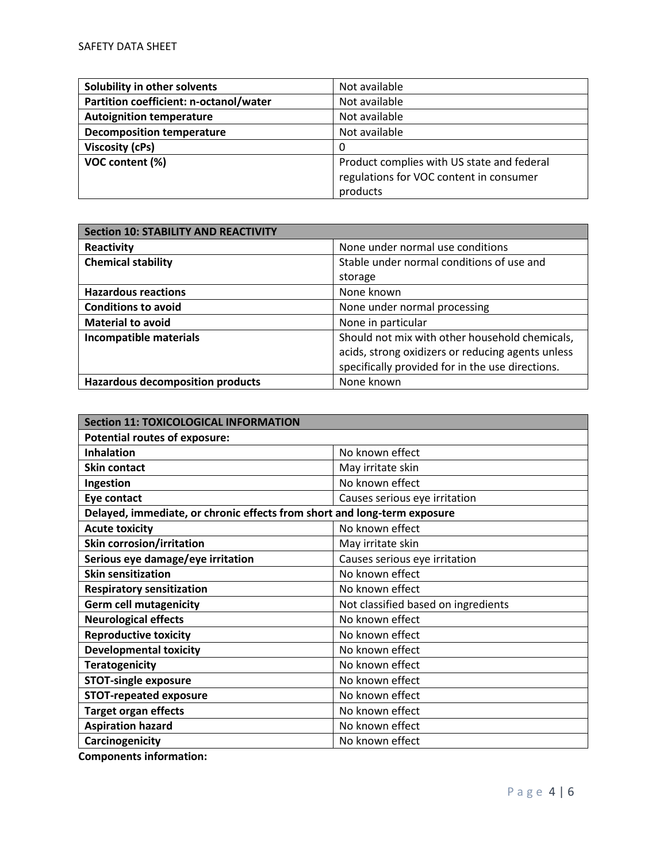| Solubility in other solvents           | Not available                              |
|----------------------------------------|--------------------------------------------|
| Partition coefficient: n-octanol/water | Not available                              |
| <b>Autoignition temperature</b>        | Not available                              |
| <b>Decomposition temperature</b>       | Not available                              |
| <b>Viscosity (cPs)</b>                 | 0                                          |
| VOC content (%)                        | Product complies with US state and federal |
|                                        | regulations for VOC content in consumer    |
|                                        | products                                   |

| <b>Section 10: STABILITY AND REACTIVITY</b> |                                                   |  |
|---------------------------------------------|---------------------------------------------------|--|
| Reactivity                                  | None under normal use conditions                  |  |
| <b>Chemical stability</b>                   | Stable under normal conditions of use and         |  |
|                                             | storage                                           |  |
| <b>Hazardous reactions</b>                  | None known                                        |  |
| <b>Conditions to avoid</b>                  | None under normal processing                      |  |
| <b>Material to avoid</b>                    | None in particular                                |  |
| <b>Incompatible materials</b>               | Should not mix with other household chemicals,    |  |
|                                             | acids, strong oxidizers or reducing agents unless |  |
|                                             | specifically provided for in the use directions.  |  |
| <b>Hazardous decomposition products</b>     | None known                                        |  |

| <b>Section 11: TOXICOLOGICAL INFORMATION</b>                             |                                     |  |
|--------------------------------------------------------------------------|-------------------------------------|--|
| <b>Potential routes of exposure:</b>                                     |                                     |  |
| <b>Inhalation</b>                                                        | No known effect                     |  |
| <b>Skin contact</b>                                                      | May irritate skin                   |  |
| Ingestion                                                                | No known effect                     |  |
| Eye contact                                                              | Causes serious eye irritation       |  |
| Delayed, immediate, or chronic effects from short and long-term exposure |                                     |  |
| <b>Acute toxicity</b>                                                    | No known effect                     |  |
| <b>Skin corrosion/irritation</b>                                         | May irritate skin                   |  |
| Serious eye damage/eye irritation                                        | Causes serious eye irritation       |  |
| <b>Skin sensitization</b>                                                | No known effect                     |  |
| <b>Respiratory sensitization</b>                                         | No known effect                     |  |
| <b>Germ cell mutagenicity</b>                                            | Not classified based on ingredients |  |
| <b>Neurological effects</b>                                              | No known effect                     |  |
| <b>Reproductive toxicity</b>                                             | No known effect                     |  |
| <b>Developmental toxicity</b>                                            | No known effect                     |  |
| <b>Teratogenicity</b>                                                    | No known effect                     |  |
| <b>STOT-single exposure</b>                                              | No known effect                     |  |
| <b>STOT-repeated exposure</b>                                            | No known effect                     |  |
| <b>Target organ effects</b>                                              | No known effect                     |  |
| <b>Aspiration hazard</b>                                                 | No known effect                     |  |
| Carcinogenicity                                                          | No known effect                     |  |

**Components information:**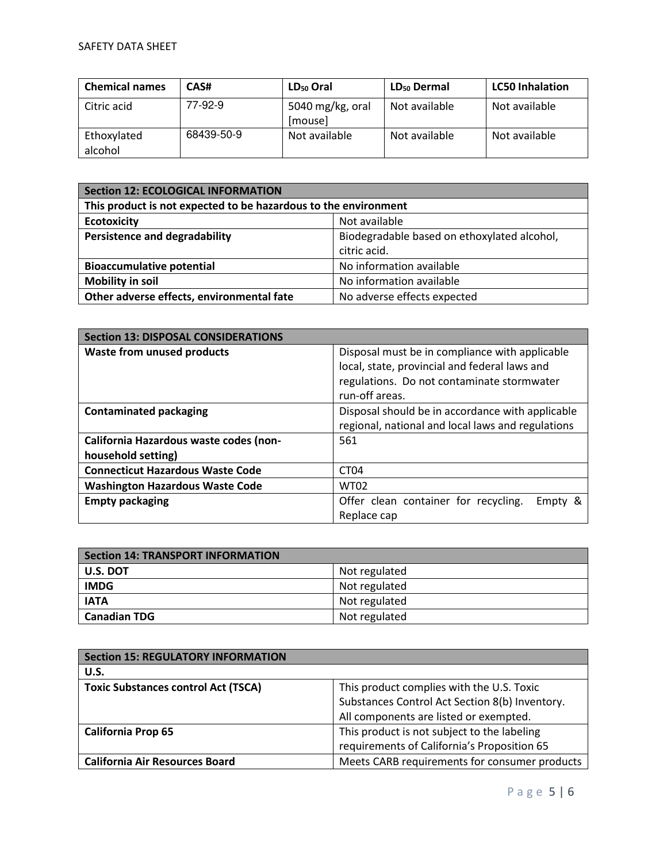| <b>Chemical names</b>  | CAS#       | $LD_{50}$ Oral              | $LD_{50}$ Dermal | <b>LC50 Inhalation</b> |
|------------------------|------------|-----------------------------|------------------|------------------------|
| Citric acid            | 77-92-9    | 5040 mg/kg, oral<br>[mouse] | Not available    | Not available          |
| Ethoxylated<br>alcohol | 68439-50-9 | Not available               | Not available    | Not available          |

| Section 12: ECOLOGICAL INFORMATION                              |                                             |  |
|-----------------------------------------------------------------|---------------------------------------------|--|
| This product is not expected to be hazardous to the environment |                                             |  |
| <b>Ecotoxicity</b>                                              | Not available                               |  |
| <b>Persistence and degradability</b>                            | Biodegradable based on ethoxylated alcohol, |  |
|                                                                 | citric acid.                                |  |
| <b>Bioaccumulative potential</b>                                | No information available                    |  |
| <b>Mobility in soil</b>                                         | No information available                    |  |
| Other adverse effects, environmental fate                       | No adverse effects expected                 |  |

| <b>Section 13: DISPOSAL CONSIDERATIONS</b>                   |                                                                                                                                                                 |  |
|--------------------------------------------------------------|-----------------------------------------------------------------------------------------------------------------------------------------------------------------|--|
| <b>Waste from unused products</b>                            | Disposal must be in compliance with applicable<br>local, state, provincial and federal laws and<br>regulations. Do not contaminate stormwater<br>run-off areas. |  |
| <b>Contaminated packaging</b>                                | Disposal should be in accordance with applicable<br>regional, national and local laws and regulations                                                           |  |
| California Hazardous waste codes (non-<br>household setting) | 561                                                                                                                                                             |  |
| <b>Connecticut Hazardous Waste Code</b>                      | CT04                                                                                                                                                            |  |
| <b>Washington Hazardous Waste Code</b>                       | <b>WT02</b>                                                                                                                                                     |  |
| <b>Empty packaging</b>                                       | Offer clean container for recycling.<br>Empty &<br>Replace cap                                                                                                  |  |

| <b>Section 14: TRANSPORT INFORMATION</b> |               |
|------------------------------------------|---------------|
| U.S. DOT                                 | Not regulated |
| <b>IMDG</b>                              | Not regulated |
| <b>IATA</b>                              | Not regulated |
| <b>Canadian TDG</b>                      | Not regulated |

| <b>Section 15: REGULATORY INFORMATION</b>  |                                                |
|--------------------------------------------|------------------------------------------------|
| U.S.                                       |                                                |
| <b>Toxic Substances control Act (TSCA)</b> | This product complies with the U.S. Toxic      |
|                                            | Substances Control Act Section 8(b) Inventory. |
|                                            | All components are listed or exempted.         |
| <b>California Prop 65</b>                  | This product is not subject to the labeling    |
|                                            | requirements of California's Proposition 65    |
| <b>California Air Resources Board</b>      | Meets CARB requirements for consumer products  |